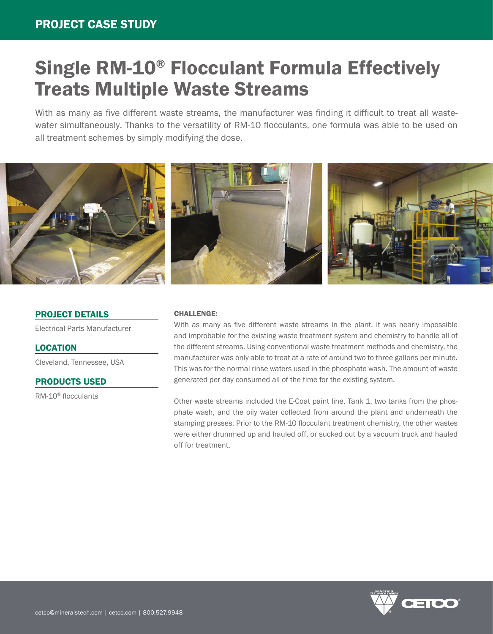# Single RM-10® Flocculant Formula Effectively Treats Multiple Waste Streams

With as many as five different waste streams, the manufacturer was finding it difficult to treat all wastewater simultaneously. Thanks to the versatility of RM-10 flocculants, one formula was able to be used on all treatment schemes by simply modifying the dose.



## PROJECT DETAILS

Electrical Parts Manufacturer

LOCATION

Cleveland, Tennessee, USA

### PRODUCTS USED

RM-10® flocculants

### CHALLENGE:

With as many as five different waste streams in the plant, it was nearly impossible and improbable for the existing waste treatment system and chemistry to handle all of the different streams. Using conventional waste treatment methods and chemistry, the manufacturer was only able to treat at a rate of around two to three gallons per minute. This was for the normal rinse waters used in the phosphate wash. The amount of waste generated per day consumed all of the time for the existing system.

Other waste streams included the E-Coat paint line, Tank 1, two tanks from the phosphate wash, and the oily water collected from around the plant and underneath the stamping presses. Prior to the RM-10 flocculant treatment chemistry, the other wastes were either drummed up and hauled off, or sucked out by a vacuum truck and hauled off for treatment.